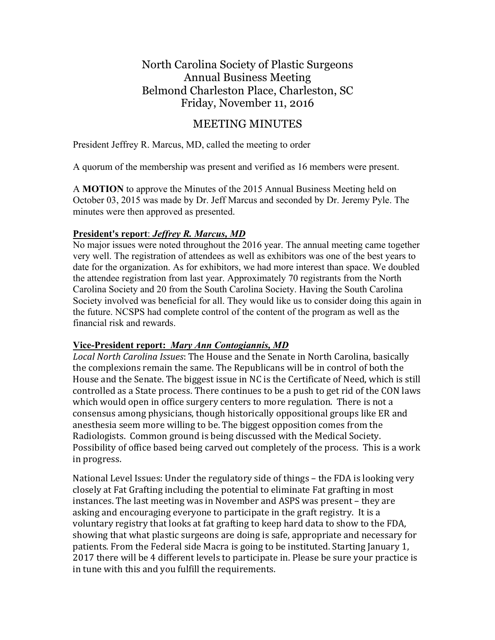# North Carolina Society of Plastic Surgeons Annual Business Meeting Belmond Charleston Place, Charleston, SC Friday, November 11, 2016

## MEETING MINUTES

President Jeffrey R. Marcus, MD, called the meeting to order

A quorum of the membership was present and verified as 16 members were present.

A **MOTION** to approve the Minutes of the 2015 Annual Business Meeting held on October 03, 2015 was made by Dr. Jeff Marcus and seconded by Dr. Jeremy Pyle. The minutes were then approved as presented.

## **President's report**: *Jeffrey R. Marcus, MD*

No major issues were noted throughout the 2016 year. The annual meeting came together very well. The registration of attendees as well as exhibitors was one of the best years to date for the organization. As for exhibitors, we had more interest than space. We doubled the attendee registration from last year. Approximately 70 registrants from the North Carolina Society and 20 from the South Carolina Society. Having the South Carolina Society involved was beneficial for all. They would like us to consider doing this again in the future. NCSPS had complete control of the content of the program as well as the financial risk and rewards.

#### **Vice-President report:** *Mary Ann Contogiannis, MD*

Local North Carolina Issues: The House and the Senate in North Carolina, basically the complexions remain the same. The Republicans will be in control of both the House and the Senate. The biggest issue in NC is the Certificate of Need, which is still controlled as a State process. There continues to be a push to get rid of the CON laws which would open in office surgery centers to more regulation. There is not a consensus among physicians, though historically oppositional groups like ER and anesthesia seem more willing to be. The biggest opposition comes from the Radiologists. Common ground is being discussed with the Medical Society. Possibility of office based being carved out completely of the process. This is a work in progress.

National Level Issues: Under the regulatory side of things – the FDA is looking very closely at Fat Grafting including the potential to eliminate Fat grafting in most instances. The last meeting was in November and ASPS was present – they are asking and encouraging everyone to participate in the graft registry. It is a voluntary registry that looks at fat grafting to keep hard data to show to the FDA, showing that what plastic surgeons are doing is safe, appropriate and necessary for patients. From the Federal side Macra is going to be instituted. Starting January 1, 2017 there will be 4 different levels to participate in. Please be sure your practice is in tune with this and you fulfill the requirements.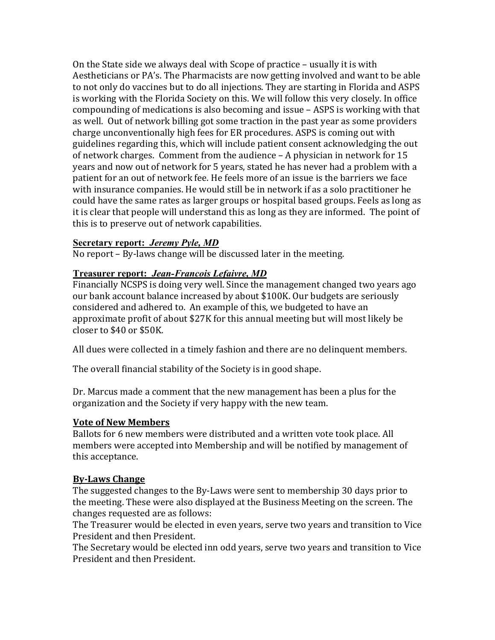On the State side we always deal with Scope of practice  $-$  usually it is with Aestheticians or PA's. The Pharmacists are now getting involved and want to be able to not only do vaccines but to do all injections. They are starting in Florida and ASPS is working with the Florida Society on this. We will follow this very closely. In office compounding of medications is also becoming and issue – ASPS is working with that as well. Out of network billing got some traction in the past year as some providers charge unconventionally high fees for ER procedures. ASPS is coming out with guidelines regarding this, which will include patient consent acknowledging the out of network charges. Comment from the audience  $-$  A physician in network for 15 years and now out of network for 5 years, stated he has never had a problem with a patient for an out of network fee. He feels more of an issue is the barriers we face with insurance companies. He would still be in network if as a solo practitioner he could have the same rates as larger groups or hospital based groups. Feels as long as it is clear that people will understand this as long as they are informed. The point of this is to preserve out of network capabilities.

## **Secretary report:** *Jeremy Pyle, MD*

No report  $-$  By-laws change will be discussed later in the meeting.

## **Treasurer report:** *Jean-Francois Lefaivre, MD*

Financially NCSPS is doing very well. Since the management changed two years ago our bank account balance increased by about \$100K. Our budgets are seriously considered and adhered to. An example of this, we budgeted to have an approximate profit of about \$27K for this annual meeting but will most likely be closer to \$40 or \$50K.

All dues were collected in a timely fashion and there are no delinquent members.

The overall financial stability of the Society is in good shape.

Dr. Marcus made a comment that the new management has been a plus for the organization and the Society if very happy with the new team.

#### **Vote of New Members**

Ballots for 6 new members were distributed and a written vote took place. All members were accepted into Membership and will be notified by management of this acceptance.

## **By-Laws Change**

The suggested changes to the By-Laws were sent to membership 30 days prior to the meeting. These were also displayed at the Business Meeting on the screen. The changes requested are as follows:

The Treasurer would be elected in even years, serve two years and transition to Vice President and then President.

The Secretary would be elected inn odd years, serve two years and transition to Vice President and then President.